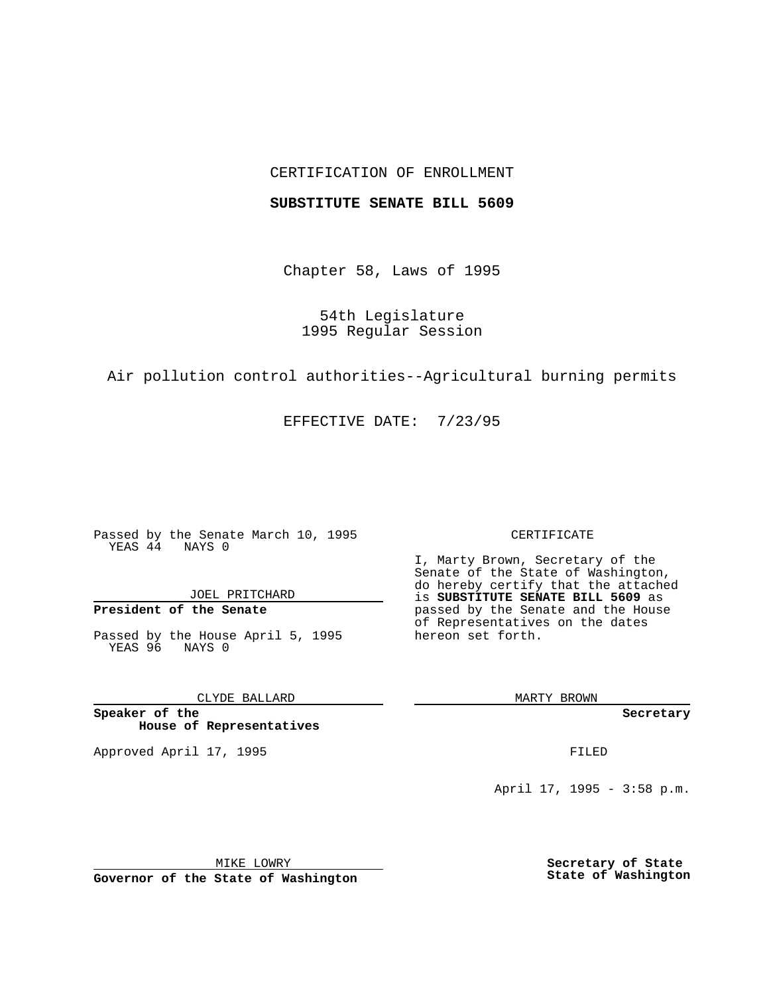## CERTIFICATION OF ENROLLMENT

### **SUBSTITUTE SENATE BILL 5609**

Chapter 58, Laws of 1995

54th Legislature 1995 Regular Session

Air pollution control authorities--Agricultural burning permits

EFFECTIVE DATE: 7/23/95

Passed by the Senate March 10, 1995 YEAS 44 NAYS 0

JOEL PRITCHARD

# **President of the Senate**

Passed by the House April 5, 1995 YEAS 96 NAYS 0

CLYDE BALLARD

**Speaker of the House of Representatives**

Approved April 17, 1995 **FILED** 

#### CERTIFICATE

I, Marty Brown, Secretary of the Senate of the State of Washington, do hereby certify that the attached is **SUBSTITUTE SENATE BILL 5609** as passed by the Senate and the House of Representatives on the dates hereon set forth.

MARTY BROWN

**Secretary**

April 17, 1995 - 3:58 p.m.

MIKE LOWRY **Governor of the State of Washington** **Secretary of State State of Washington**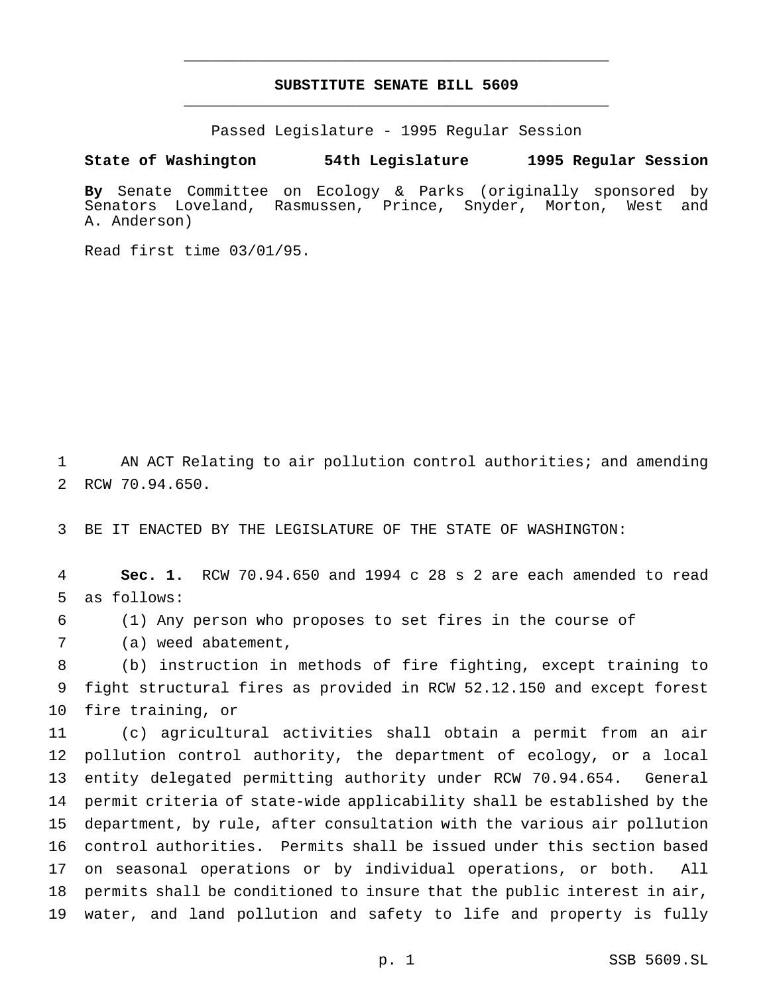## **SUBSTITUTE SENATE BILL 5609** \_\_\_\_\_\_\_\_\_\_\_\_\_\_\_\_\_\_\_\_\_\_\_\_\_\_\_\_\_\_\_\_\_\_\_\_\_\_\_\_\_\_\_\_\_\_\_

\_\_\_\_\_\_\_\_\_\_\_\_\_\_\_\_\_\_\_\_\_\_\_\_\_\_\_\_\_\_\_\_\_\_\_\_\_\_\_\_\_\_\_\_\_\_\_

Passed Legislature - 1995 Regular Session

**State of Washington 54th Legislature 1995 Regular Session**

**By** Senate Committee on Ecology & Parks (originally sponsored by Senators Loveland, Rasmussen, Prince, Snyder, Morton, West and A. Anderson)

Read first time 03/01/95.

 AN ACT Relating to air pollution control authorities; and amending RCW 70.94.650.

BE IT ENACTED BY THE LEGISLATURE OF THE STATE OF WASHINGTON:

 **Sec. 1.** RCW 70.94.650 and 1994 c 28 s 2 are each amended to read as follows:

- (1) Any person who proposes to set fires in the course of
- (a) weed abatement,

 (b) instruction in methods of fire fighting, except training to fight structural fires as provided in RCW 52.12.150 and except forest fire training, or

 (c) agricultural activities shall obtain a permit from an air pollution control authority, the department of ecology, or a local entity delegated permitting authority under RCW 70.94.654. General permit criteria of state-wide applicability shall be established by the department, by rule, after consultation with the various air pollution control authorities. Permits shall be issued under this section based on seasonal operations or by individual operations, or both. All permits shall be conditioned to insure that the public interest in air, water, and land pollution and safety to life and property is fully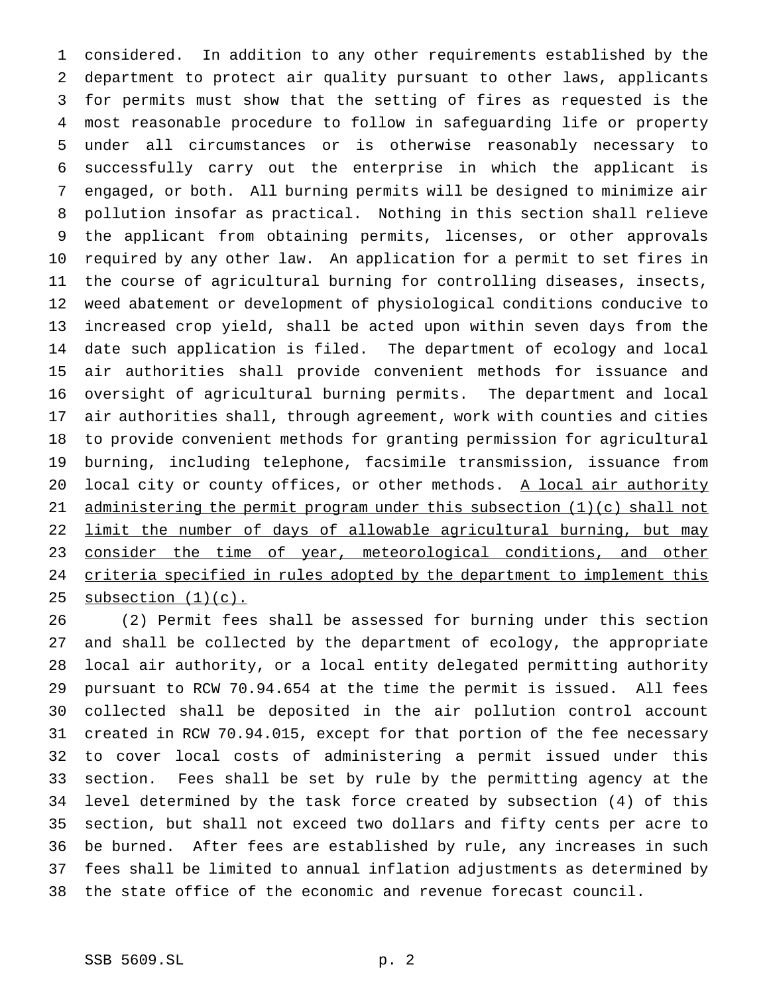considered. In addition to any other requirements established by the department to protect air quality pursuant to other laws, applicants for permits must show that the setting of fires as requested is the most reasonable procedure to follow in safeguarding life or property under all circumstances or is otherwise reasonably necessary to successfully carry out the enterprise in which the applicant is engaged, or both. All burning permits will be designed to minimize air pollution insofar as practical. Nothing in this section shall relieve the applicant from obtaining permits, licenses, or other approvals required by any other law. An application for a permit to set fires in the course of agricultural burning for controlling diseases, insects, weed abatement or development of physiological conditions conducive to increased crop yield, shall be acted upon within seven days from the date such application is filed. The department of ecology and local air authorities shall provide convenient methods for issuance and oversight of agricultural burning permits. The department and local air authorities shall, through agreement, work with counties and cities to provide convenient methods for granting permission for agricultural burning, including telephone, facsimile transmission, issuance from 20 local city or county offices, or other methods. A local air authority 21 administering the permit program under this subsection (1)(c) shall not 22 limit the number of days of allowable agricultural burning, but may 23 consider the time of year, meteorological conditions, and other 24 criteria specified in rules adopted by the department to implement this 25 subsection  $(1)(c)$ .

 (2) Permit fees shall be assessed for burning under this section and shall be collected by the department of ecology, the appropriate local air authority, or a local entity delegated permitting authority pursuant to RCW 70.94.654 at the time the permit is issued. All fees collected shall be deposited in the air pollution control account created in RCW 70.94.015, except for that portion of the fee necessary to cover local costs of administering a permit issued under this section. Fees shall be set by rule by the permitting agency at the level determined by the task force created by subsection (4) of this section, but shall not exceed two dollars and fifty cents per acre to be burned. After fees are established by rule, any increases in such fees shall be limited to annual inflation adjustments as determined by the state office of the economic and revenue forecast council.